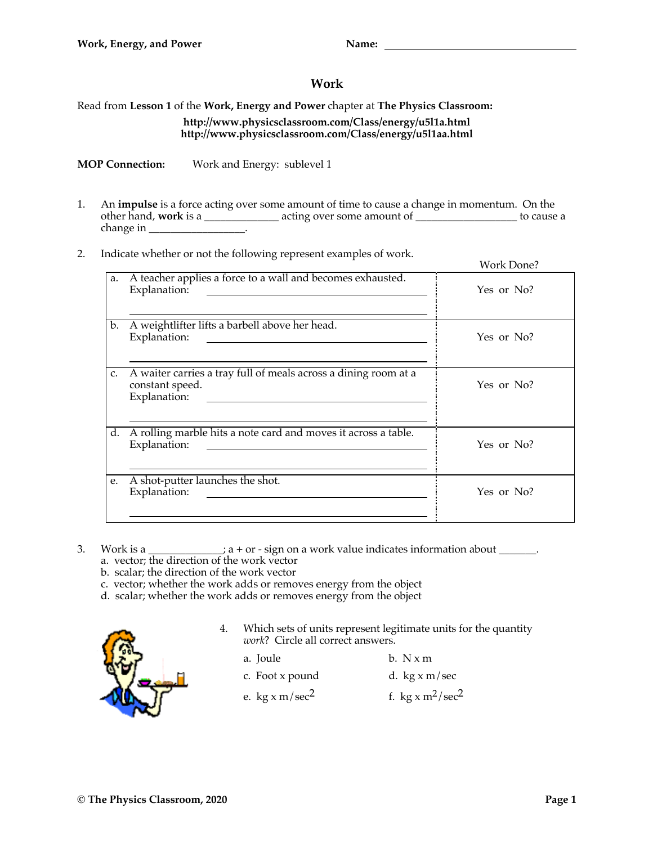## **Work**

## Read from **Lesson 1** of the **Work, Energy and Power** chapter at **The Physics Classroom: http://www.physicsclassroom.com/Class/energy/u5l1a.html http://www.physicsclassroom.com/Class/energy/u5l1aa.html**

**MOP Connection:** Work and Energy: sublevel 1

- 1. An **impulse** is a force acting over some amount of time to cause a change in momentum. On the other hand, **work** is a \_\_\_\_\_\_\_\_\_\_\_\_\_\_ acting over some amount of \_\_\_\_\_\_\_\_\_\_\_\_\_\_\_\_\_\_\_ to cause a change in \_\_\_\_\_\_\_\_\_\_\_\_\_\_\_\_\_\_.
- 2. Indicate whether or not the following represent examples of work.

|    |                                                                                                                                      | Work Done? |
|----|--------------------------------------------------------------------------------------------------------------------------------------|------------|
| a. | A teacher applies a force to a wall and becomes exhausted.<br>Explanation:<br><u> 1989 - John Stein, Amerikaansk politiker (</u>     | Yes or No? |
| b. | A weightlifter lifts a barbell above her head.<br>Explanation:<br><u> 1989 - Andrea Station Barbara, amerikan personal (h. 1989)</u> | Yes or No? |
| C. | A waiter carries a tray full of meals across a dining room at a<br>constant speed.<br>Explanation:                                   | Yes or No? |
| d. | A rolling marble hits a note card and moves it across a table.<br>Explanation:                                                       | Yes or No? |
| e. | A shot-putter launches the shot.<br>Explanation:                                                                                     | Yes or No? |

- 3. Work is a \_\_\_\_\_\_\_\_\_\_\_\_;  $a + or sign$  on a work value indicates information about \_\_\_\_\_\_.
	- a. vector; the direction of the work vector
	- b. scalar; the direction of the work vector
	- c. vector; whether the work adds or removes energy from the object
	- d. scalar; whether the work adds or removes energy from the object



4. Which sets of units represent legitimate units for the quantity *work*? Circle all correct answers.

| a. Joule | b. Nxm |
|----------|--------|
|          |        |

- c. Foot x pound d. kg  $x \text{ m/sec}$
- e. kg x m/sec<sup>2</sup> f. kg x m<sup>2</sup>/sec<sup>2</sup>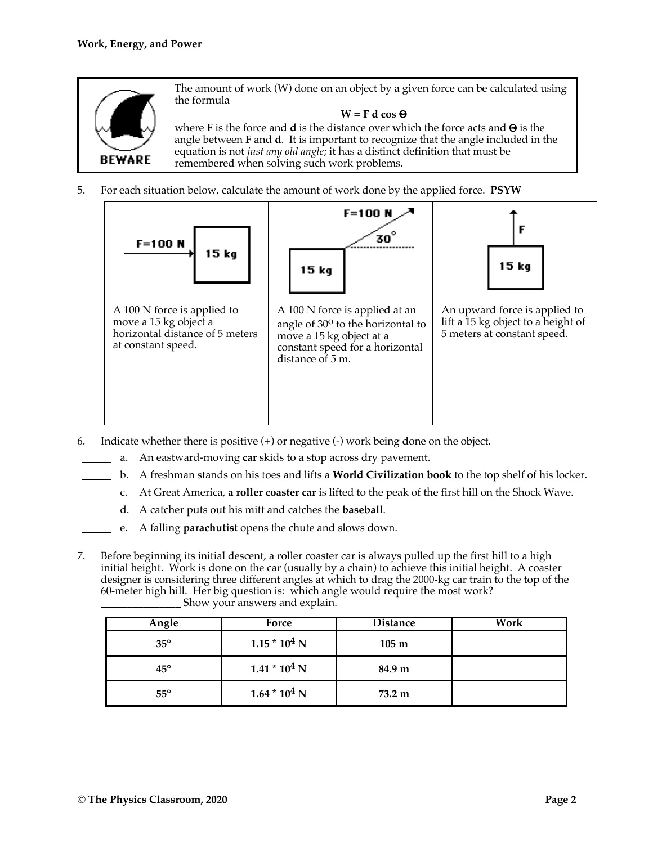

The amount of work (W) done on an object by a given force can be calculated using the formula

### $W = F d \cos \Theta$

where **F** is the force and **d** is the distance over which the force acts and  $\Theta$  is the angle between **F** and **d**. It is important to recognize that the angle included in the equation is not *just any old angle*; it has a distinct definition that must be remembered when solving such work problems.

5. For each situation below, calculate the amount of work done by the applied force. **PSYW**



- 6. Indicate whether there is positive  $(+)$  or negative  $(-)$  work being done on the object.
	- a. An eastward-moving **car** skids to a stop across dry pavement.
	- b. A freshman stands on his toes and lifts a **World Civilization book** to the top shelf of his locker.
		- c. At Great America, **a roller coaster car** is lifted to the peak of the first hill on the Shock Wave.
			- d. A catcher puts out his mitt and catches the **baseball**.
			- e. A falling **parachutist** opens the chute and slows down.
- 7. Before beginning its initial descent, a roller coaster car is always pulled up the first hill to a high initial height. Work is done on the car (usually by a chain) to achieve this initial height. A coaster designer is considering three different angles at which to drag the 2000-kg car train to the top of the 60-meter high hill. Her big question is: which angle would require the most work?

| Angle        | Force           | <b>Distance</b> | Work |
|--------------|-----------------|-----------------|------|
| $35^\circ$   | $1.15 * 104 N$  | $105 \text{ m}$ |      |
| $45^{\circ}$ | $1.41 * 104 N$  | 84.9 m          |      |
| $55^{\circ}$ | $1.64 * 10^4 N$ | 73.2 m          |      |

\_\_\_\_\_\_\_\_\_\_\_\_\_\_\_ Show your answers and explain.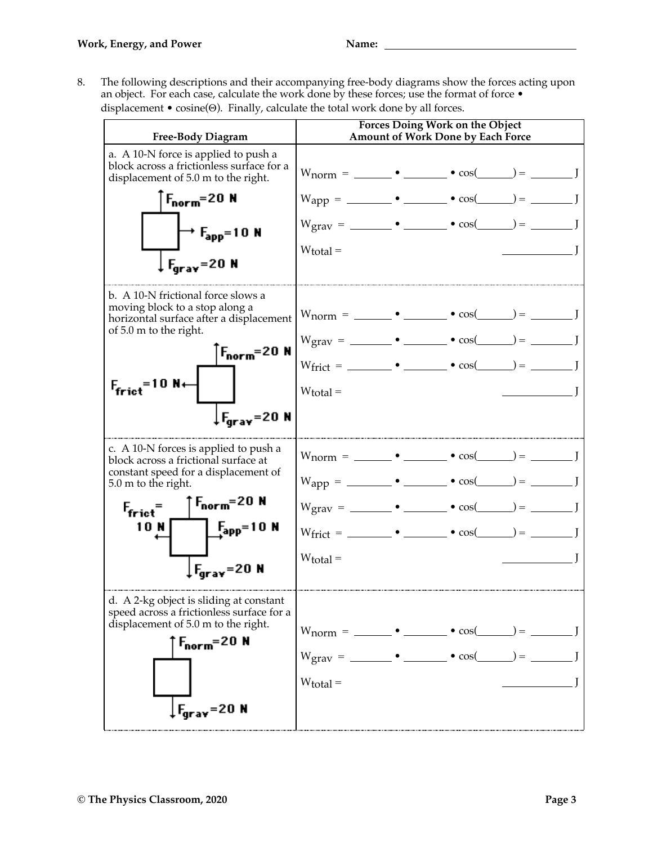8. The following descriptions and their accompanying free-body diagrams show the forces acting upon an object. For each case, calculate the work done by these forces; use the format of force  $\bullet$ displacement  $\bullet$  cosine( $\Theta$ ). Finally, calculate the total work done by all forces.

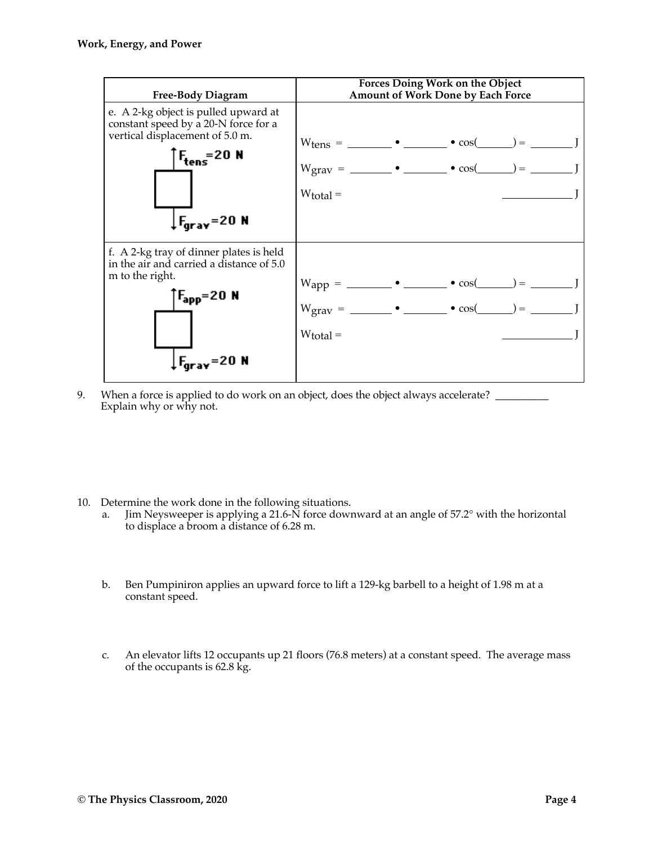

- 9. When a force is applied to do work on an object, does the object always accelerate? \_\_\_\_\_\_\_\_\_\_\_\_ Explain why or why not.
- 10. Determine the work done in the following situations.
	- a. Jim Neysweeper is applying a 21.6-N force downward at an angle of 57.2° with the horizontal to displace a broom a distance of 6.28 m.
	- b. Ben Pumpiniron applies an upward force to lift a 129-kg barbell to a height of 1.98 m at a constant speed.
	- c. An elevator lifts 12 occupants up 21 floors (76.8 meters) at a constant speed. The average mass of the occupants is 62.8 kg.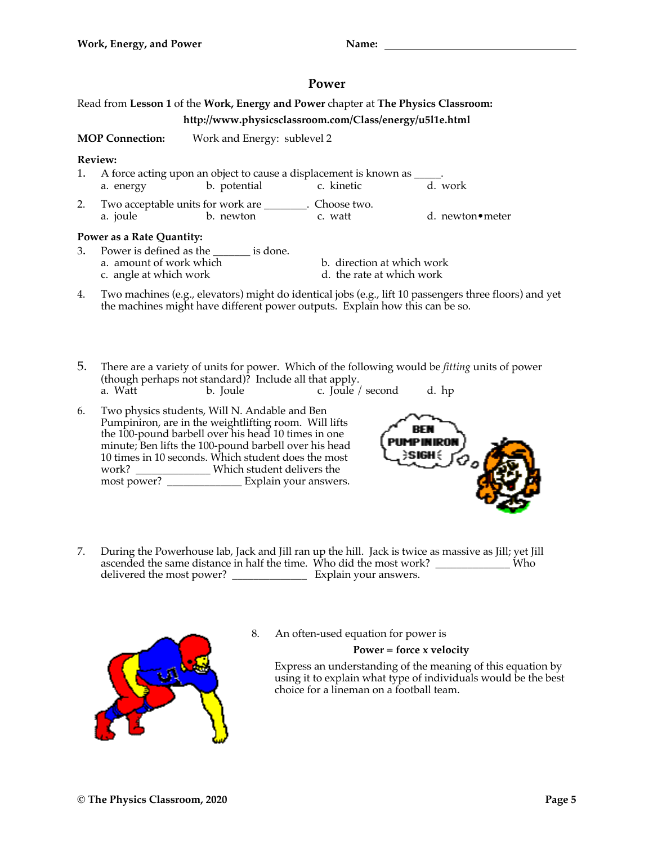## **Power**

# Read from **Lesson 1** of the **Work, Energy and Power** chapter at **The Physics Classroom:**

## **http://www.physicsclassroom.com/Class/energy/u5l1e.html**

**MOP Connection:** Work and Energy: sublevel 2

### **Review:**

- 1. A force acting upon an object to cause a displacement is known as a. energy b. potential c. kinetic d. work 2. Two acceptable units for work are \_\_\_\_\_\_\_\_. Choose two.
- a. joule b. newton c. watt d. newton•meter

### **Power as a Rate Quantity:**

- 3. Power is defined as the \_\_\_\_\_\_\_ is done.
	-
	- a. amount of work which b. direction at which work<br>
	c. angle at which work<br>
	d. the rate at which work
		- d. the rate at which work
- 4. Two machines (e.g., elevators) might do identical jobs (e.g., lift 10 passengers three floors) and yet the machines might have different power outputs. Explain how this can be so.
- 5. There are a variety of units for power. Which of the following would be *fitting* units of power (though perhaps not standard)? Include all that apply. a. Watt b. Joule c. Joule / second d. hp
- 6. Two physics students, Will N. Andable and Ben Pumpiniron, are in the weightlifting room. Will lifts the 100-pound barbell over his head 10 times in one minute; Ben lifts the 100-pound barbell over his head 10 times in 10 seconds. Which student does the most work? \_\_\_\_\_\_\_\_\_\_\_\_\_\_ Which student delivers the most power? \_\_\_\_\_\_\_\_\_\_\_\_\_\_ Explain your answers.



7. During the Powerhouse lab, Jack and Jill ran up the hill. Jack is twice as massive as Jill; yet Jill ascended the same distance in half the time. Who did the most work? \_\_\_\_\_\_\_\_\_\_\_\_\_\_ Who delivered the most power? \_\_\_\_\_\_\_\_\_\_\_\_\_\_ Explain your answers.



8. An often-used equation for power is

**Power = force x velocity**

Express an understanding of the meaning of this equation by using it to explain what type of individuals would be the best choice for a lineman on a football team.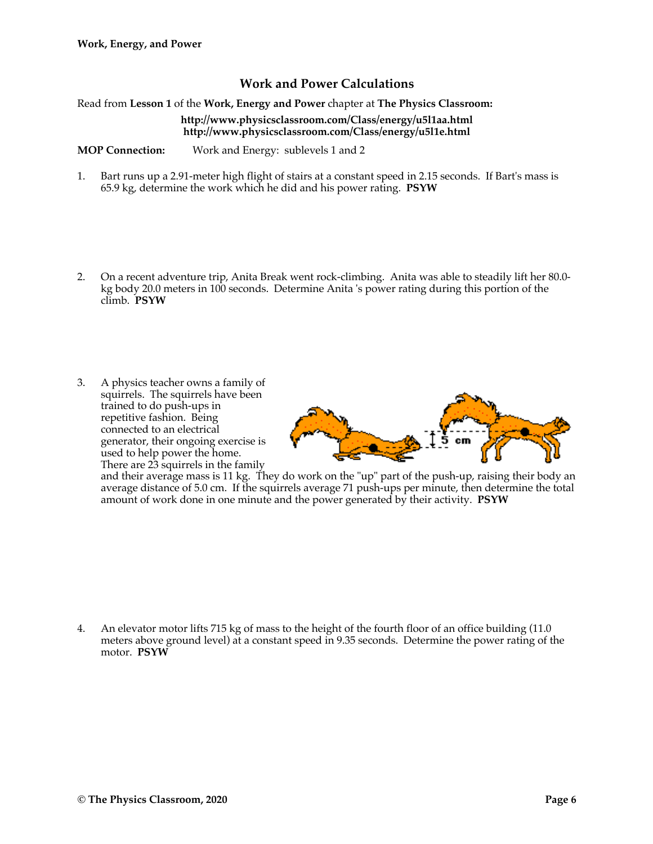## **Work and Power Calculations**

Read from **Lesson 1** of the **Work, Energy and Power** chapter at **The Physics Classroom:**

#### **http://www.physicsclassroom.com/Class/energy/u5l1aa.html http://www.physicsclassroom.com/Class/energy/u5l1e.html**

**MOP Connection:** Work and Energy: sublevels 1 and 2

- 1. Bart runs up a 2.91-meter high flight of stairs at a constant speed in 2.15 seconds. If Bart's mass is 65.9 kg, determine the work which he did and his power rating. **PSYW**
- 2. On a recent adventure trip, Anita Break went rock-climbing. Anita was able to steadily lift her 80.0 kg body 20.0 meters in 100 seconds. Determine Anita 's power rating during this portion of the climb. **PSYW**
- 3. A physics teacher owns a family of squirrels. The squirrels have been trained to do push-ups in repetitive fashion. Being connected to an electrical generator, their ongoing exercise is used to help power the home. There are 23 squirrels in the family



and their average mass is 11 kg. They do work on the "up" part of the push-up, raising their body an average distance of 5.0 cm. If the squirrels average 71 push-ups per minute, then determine the total amount of work done in one minute and the power generated by their activity. **PSYW**

4. An elevator motor lifts 715 kg of mass to the height of the fourth floor of an office building (11.0 meters above ground level) at a constant speed in 9.35 seconds. Determine the power rating of the motor. **PSYW**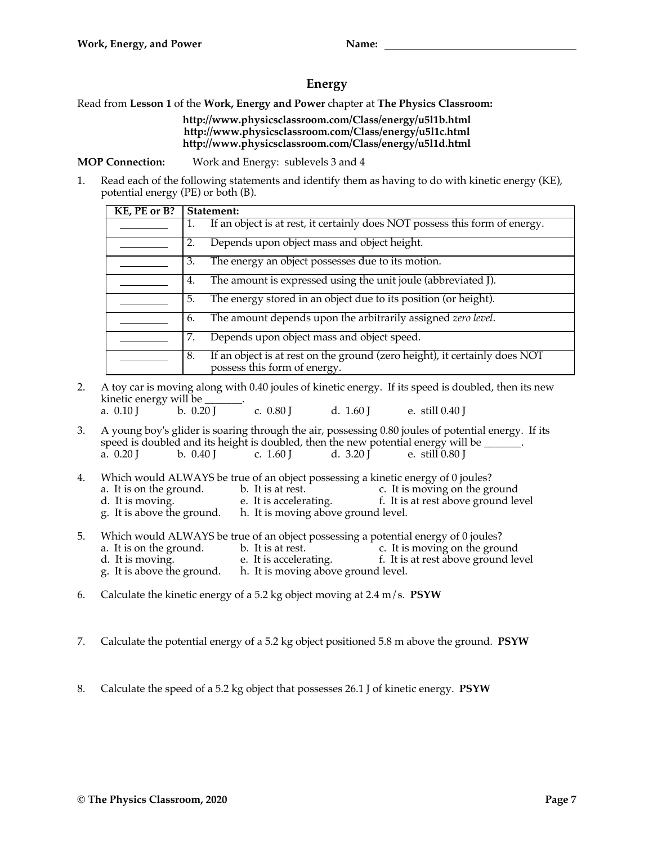## **Energy**

Read from **Lesson 1** of the **Work, Energy and Power** chapter at **The Physics Classroom:**

### **http://www.physicsclassroom.com/Class/energy/u5l1b.html http://www.physicsclassroom.com/Class/energy/u5l1c.html http://www.physicsclassroom.com/Class/energy/u5l1d.html**

**MOP Connection:** Work and Energy: sublevels 3 and 4

1. Read each of the following statements and identify them as having to do with kinetic energy (KE), potential energy (PE) or both (B).

| KE, PE or B? | Statement:                                                                                                       |  |  |
|--------------|------------------------------------------------------------------------------------------------------------------|--|--|
|              | If an object is at rest, it certainly does NOT possess this form of energy.<br>1.                                |  |  |
|              | Depends upon object mass and object height.<br>2.                                                                |  |  |
|              | The energy an object possesses due to its motion.<br>3.                                                          |  |  |
|              | The amount is expressed using the unit joule (abbreviated J).<br>4.                                              |  |  |
|              | The energy stored in an object due to its position (or height).<br>5.                                            |  |  |
|              | The amount depends upon the arbitrarily assigned zero level.<br>6.                                               |  |  |
|              | Depends upon object mass and object speed.<br>7.                                                                 |  |  |
|              | If an object is at rest on the ground (zero height), it certainly does NOT<br>8.<br>possess this form of energy. |  |  |

- 2. A toy car is moving along with 0.40 joules of kinetic energy. If its speed is doubled, then its new kinetic energy will be  $\frac{1}{20}$  b. 0.20 J c. 0.80 J d. 1.60 J e. still 0.40 J
- 3. A young boy's glider is soaring through the air, possessing 0.80 joules of potential energy. If its speed is doubled and its height is doubled, then the new potential energy will be  $\_\_\_\_\_\$ . a. 0.20 J b. 0.40 J c. 1.60 J d. 3.20 J e. still 0.80 J
- 4. Which would ALWAYS be true of an object possessing a kinetic energy of 0 joules?<br>a. It is on the ground. b. It is at rest. c. It is moving on the gr b. It is at rest.<br>
e. It is accelerating. The same set above ground level to the ground level of the same set of the same of the s d. It is moving. e. It is accelerating. f. It is at rest above ground level g. It is above the ground. h. It is moving above ground level. h. It is moving above ground level.
- 5. Which would ALWAYS be true of an object possessing a potential energy of 0 joules?<br>a. It is on the ground. b. It is at rest. c. It is moving on the grou a. It is on the ground. b. It is at rest. c. It is moving on the ground d. It is moving. e. It is accelerating. f. It is at rest above ground le d. It is moving. e. It is accelerating. f. It is at rest above ground level g. It is above the ground. h. It is moving above ground level. h. It is moving above ground level.
- 6. Calculate the kinetic energy of a 5.2 kg object moving at 2.4 m/s. **PSYW**
- 7. Calculate the potential energy of a 5.2 kg object positioned 5.8 m above the ground. **PSYW**
- 8. Calculate the speed of a 5.2 kg object that possesses 26.1 J of kinetic energy. **PSYW**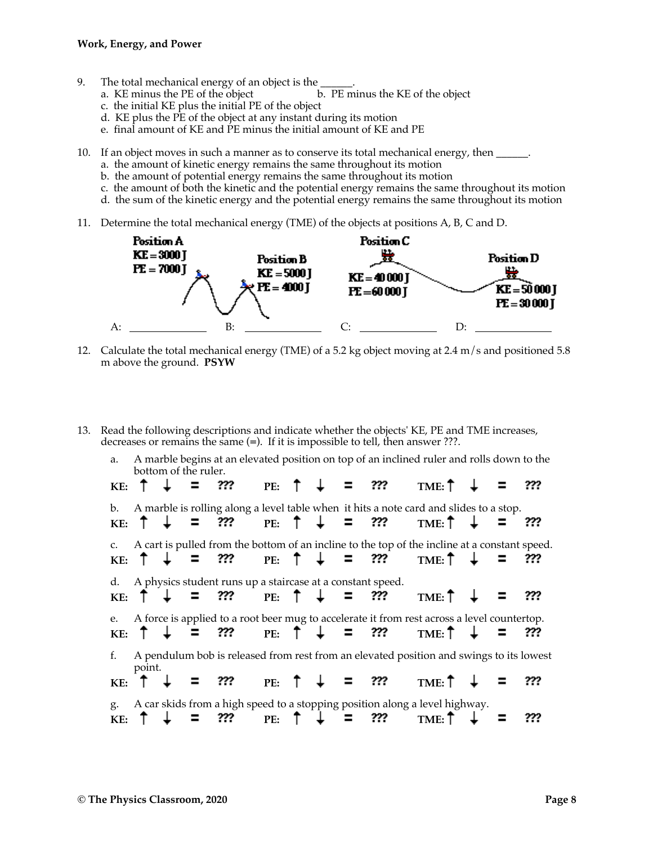- 
- 9. The total mechanical energy of an object is the <u>see</u>.<br>
a. KE minus the PE of the object b. PE minus the KE of the object a. KE minus the  $PE$  of the object
	- c. the initial KE plus the initial PE of the object
	- d. KE plus the  $\overrightarrow{PE}$  of the object at any instant during its motion
	- e. final amount of KE and PE minus the initial amount of KE and PE
- 10. If an object moves in such a manner as to conserve its total mechanical energy, then \_\_\_\_\_\_.
	- a. the amount of kinetic energy remains the same throughout its motion
	- b. the amount of potential energy remains the same throughout its motion
	- c. the amount of both the kinetic and the potential energy remains the same throughout its motion
	- d. the sum of the kinetic energy and the potential energy remains the same throughout its motion
- 11. Determine the total mechanical energy (TME) of the objects at positions A, B, C and D.



- 12. Calculate the total mechanical energy (TME) of a 5.2 kg object moving at 2.4 m/s and positioned 5.8 m above the ground. **PSYW**
- 13. Read the following descriptions and indicate whether the objects' KE, PE and TME increases, decreases or remains the same (**=**). If it is impossible to tell, then answer ???.

a. A marble begins at an elevated position on top of an inclined ruler and rolls down to the bottom of the ruler. ??? **KE:**  $T + T = 77$ ? **PE:**  $T + T = 77$ ? **TME:** b. A marble is rolling along a level table when it hits a note card and slides to a stop. ??? **KE:**  $T + T = 77$  **PE:**  $T + T = 77$  **TME:** c. A cart is pulled from the bottom of an incline to the top of the incline at a constant speed. ??? **KE:**  $T + T = 77$ : **PE:**  $T + T = 77$ : **TME:** d. A physics student runs up a staircase at a constant speed. ??? **KE:**  $T + T = 77$  **PE:**  $T + T = 77$  **TME:** e. A force is applied to a root beer mug to accelerate it from rest across a level countertop. ??? **KE:**  $T + T = 77$  **PE:**  $T + T = 77$  **TME:** f. A pendulum bob is released from rest from an elevated position and swings to its lowest point. **KE:**  $\uparrow \downarrow = ?$ ?? **PE:**  $\uparrow \downarrow = ?$ ?? **TME:**  $\uparrow$ ??? g. A car skids from a high speed to a stopping position along a level highway. ??? **KE:**  $T + T = 77$ : **PE:**  $T + T = 77$ : **TME:**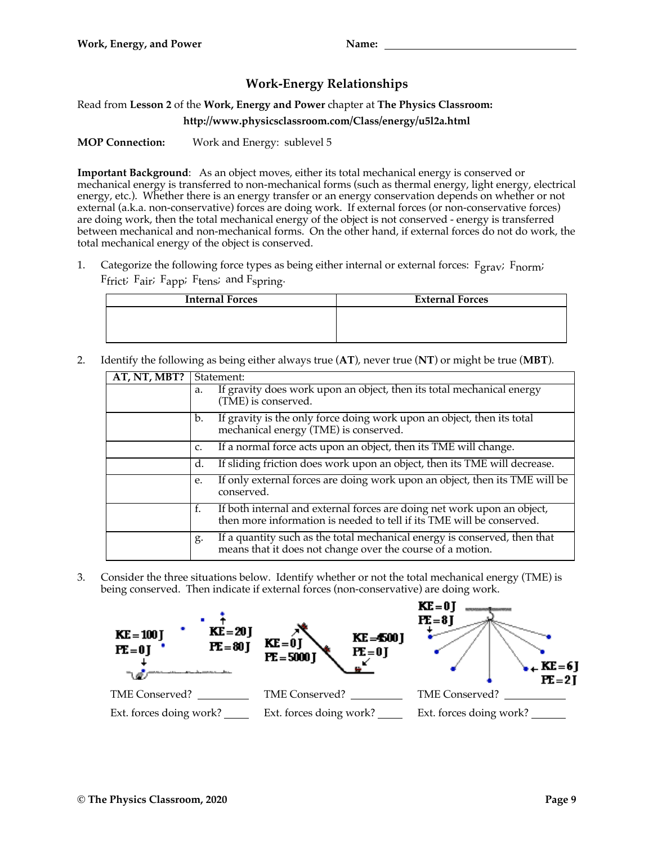# **Work-Energy Relationships**

Read from **Lesson 2** of the **Work, Energy and Power** chapter at **The Physics Classroom: http://www.physicsclassroom.com/Class/energy/u5l2a.html**

**MOP Connection:** Work and Energy: sublevel 5

**Important Background**: As an object moves, either its total mechanical energy is conserved or mechanical energy is transferred to non-mechanical forms (such as thermal energy, light energy, electrical energy, etc.). Whether there is an energy transfer or an energy conservation depends on whether or not external (a.k.a. non-conservative) forces are doing work. If external forces (or non-conservative forces) are doing work, then the total mechanical energy of the object is not conserved - energy is transferred between mechanical and non-mechanical forms. On the other hand, if external forces do not do work, the total mechanical energy of the object is conserved.

1. Categorize the following force types as being either internal or external forces:  $F_{grav}$ ;  $F_{norm}$ ;  $F$ frict;  $F$ air;  $F$ app;  $F$ tens; and  $F$ spring.

| <b>Internal Forces</b> | <b>External Forces</b> |
|------------------------|------------------------|
|                        |                        |
|                        |                        |
|                        |                        |

2. Identify the following as being either always true (**AT**), never true (**NT**) or might be true (**MBT**).

| AT, NT, MBT? | Statement:                                                                                                                                             |  |
|--------------|--------------------------------------------------------------------------------------------------------------------------------------------------------|--|
|              | If gravity does work upon an object, then its total mechanical energy<br>a.<br>(TME) is conserved.                                                     |  |
|              | If gravity is the only force doing work upon an object, then its total<br>b.<br>mechanical energy (TME) is conserved.                                  |  |
|              | If a normal force acts upon an object, then its TME will change.<br>$C_{\bullet}$                                                                      |  |
|              | If sliding friction does work upon an object, then its TME will decrease.<br>d.                                                                        |  |
|              | If only external forces are doing work upon an object, then its TME will be<br>e.<br>conserved.                                                        |  |
|              | If both internal and external forces are doing net work upon an object,<br>f.<br>then more information is needed to tell if its TME will be conserved. |  |
|              | If a quantity such as the total mechanical energy is conserved, then that<br>g.<br>means that it does not change over the course of a motion.          |  |

3. Consider the three situations below. Identify whether or not the total mechanical energy (TME) is being conserved. Then indicate if external forces (non-conservative) are doing work.

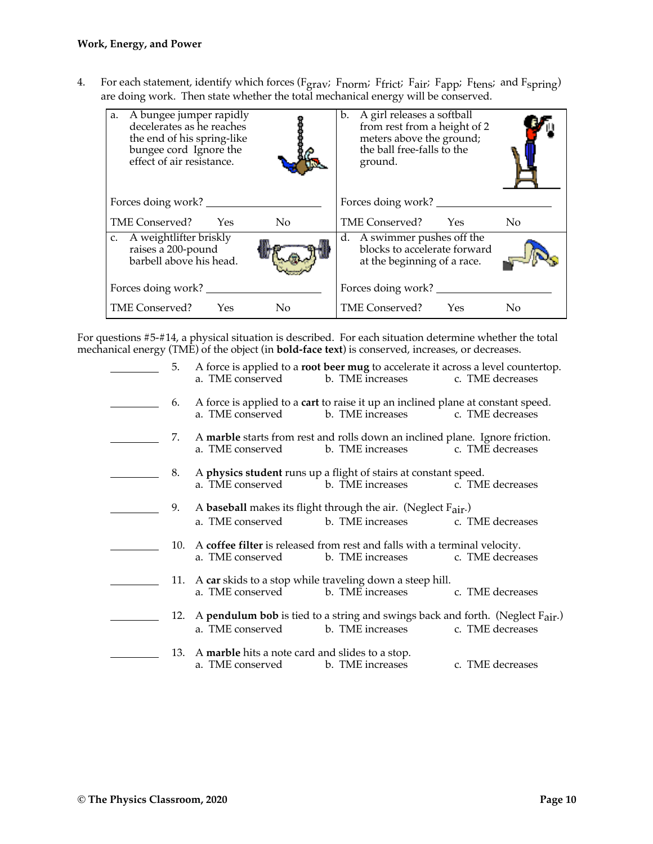4. For each statement, identify which forces (F<sub>grav</sub>; F<sub>norm</sub>; F<sub>frict</sub>; F<sub>air</sub>; F<sub>app</sub>; F<sub>tens</sub>; and F<sub>spring</sub>) are doing work. Then state whether the total mechanical energy will be conserved.

| A bungee jumper rapidly<br>a.<br>decelerates as he reaches<br>the end of his spring-like<br>bungee cord Ignore the<br>effect of air resistance. | b. A girl releases a softball<br>from rest from a height of 2<br>meters above the ground;<br>the ball free-falls to the<br>ground. |
|-------------------------------------------------------------------------------------------------------------------------------------------------|------------------------------------------------------------------------------------------------------------------------------------|
| Forces doing work?                                                                                                                              | Forces doing work? _____                                                                                                           |
| TME Conserved? Yes                                                                                                                              | TME Conserved? Yes                                                                                                                 |
| No                                                                                                                                              | No                                                                                                                                 |
| c. A weightlifter briskly                                                                                                                       | d. A swimmer pushes off the                                                                                                        |
| raises a 200-pound                                                                                                                              | blocks to accelerate forward                                                                                                       |
| barbell above his head.                                                                                                                         | at the beginning of a race.                                                                                                        |
| Forces doing work?                                                                                                                              | Forces doing work?                                                                                                                 |
| TME Conserved? Yes                                                                                                                              | TME Conserved? Yes                                                                                                                 |
| N <sub>0</sub>                                                                                                                                  | No                                                                                                                                 |

For questions #5-#14, a physical situation is described. For each situation determine whether the total mechanical energy (TME) of the object (in **bold-face text**) is conserved, increases, or decreases.

| 5.  | A force is applied to a root beer mug to accelerate it across a level countertop.<br>b. TME increases<br>a. TME conserved<br>c. TME decreases       |
|-----|-----------------------------------------------------------------------------------------------------------------------------------------------------|
| 6.  | A force is applied to a <b>cart</b> to raise it up an inclined plane at constant speed.<br>b. TME increases<br>c. TME decreases<br>a. TME conserved |
| 7.  | A marble starts from rest and rolls down an inclined plane. Ignore friction.<br>b. TME increases<br>c. TME decreases<br>a. TME conserved            |
| 8.  | A physics student runs up a flight of stairs at constant speed.<br>b. TME increases<br>c. TME decreases<br>a. TME conserved                         |
| 9.  | A baseball makes its flight through the air. (Neglect Fair.)<br>a. TME conserved<br>b. TME increases<br>c. TME decreases                            |
| 10. | A coffee filter is released from rest and falls with a terminal velocity.<br>b. TME increases<br>c. TME decreases<br>a. TME conserved               |
|     | 11. A car skids to a stop while traveling down a steep hill.<br>b. TME increases<br>a. TME conserved<br>c. TME decreases                            |
| 12. | A <b>pendulum bob</b> is tied to a string and swings back and forth. (Neglect Fair.)<br>a. TME conserved<br>b. TME increases<br>c. TME decreases    |
| 13. | A marble hits a note card and slides to a stop.<br>a. TME conserved<br>b. TME increases<br>c. TME decreases                                         |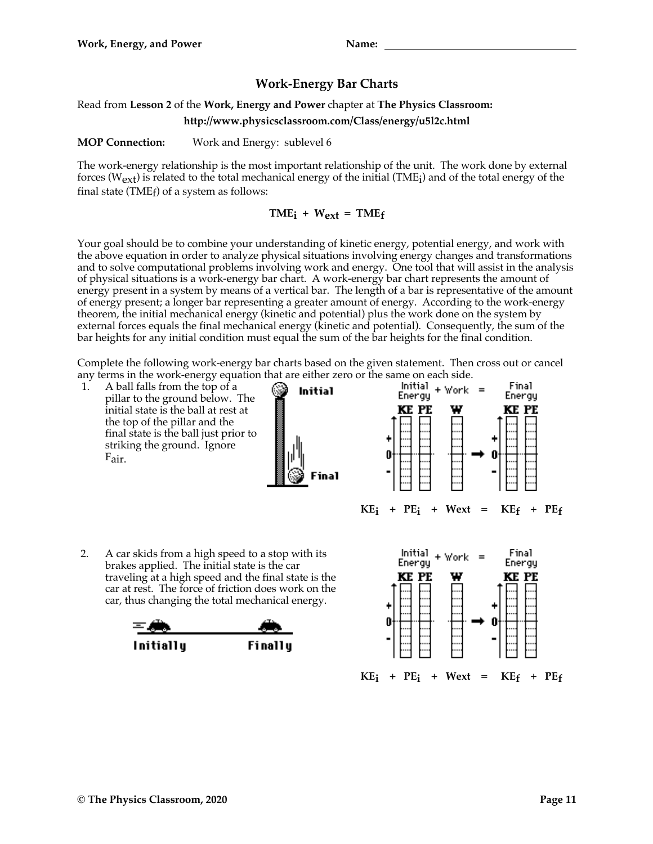# **Work-Energy Bar Charts**

## Read from **Lesson 2** of the **Work, Energy and Power** chapter at **The Physics Classroom:**

**http://www.physicsclassroom.com/Class/energy/u5l2c.html**

**MOP Connection:** Work and Energy: sublevel 6

The work-energy relationship is the most important relationship of the unit. The work done by external forces ( $W_{ext}$ ) is related to the total mechanical energy of the initial (TME<sub>i</sub>) and of the total energy of the final state (TME $_f$ ) of a system as follows:

## $\mathbf{TME_i} + \mathbf{W_{ext}} = \mathbf{TME_f}$

Your goal should be to combine your understanding of kinetic energy, potential energy, and work with the above equation in order to analyze physical situations involving energy changes and transformations and to solve computational problems involving work and energy. One tool that will assist in the analysis of physical situations is a work-energy bar chart. A work-energy bar chart represents the amount of energy present in a system by means of a vertical bar. The length of a bar is representative of the amount of energy present; a longer bar representing a greater amount of energy. According to the work-energy theorem, the initial mechanical energy (kinetic and potential) plus the work done on the system by external forces equals the final mechanical energy (kinetic and potential). Consequently, the sum of the bar heights for any initial condition must equal the sum of the bar heights for the final condition.

Complete the following work-energy bar charts based on the given statement. Then cross out or cancel any terms in the work-energy equation that are either zero or the same on each side.<br>1. A ball falls from the top of a **contration in the same of the same of the side Initial Energy**  $\bullet$  **Vork** =

1. A ball falls from the top of a pillar to the ground below. The initial state is the ball at rest at the top of the pillar and the final state is the ball just prior to striking the ground. Ignore Fair.





2. A car skids from a high speed to a stop with its brakes applied. The initial state is the car traveling at a high speed and the final state is the car at rest. The force of friction does work on the car, thus changing the total mechanical energy.



Initially

Finally

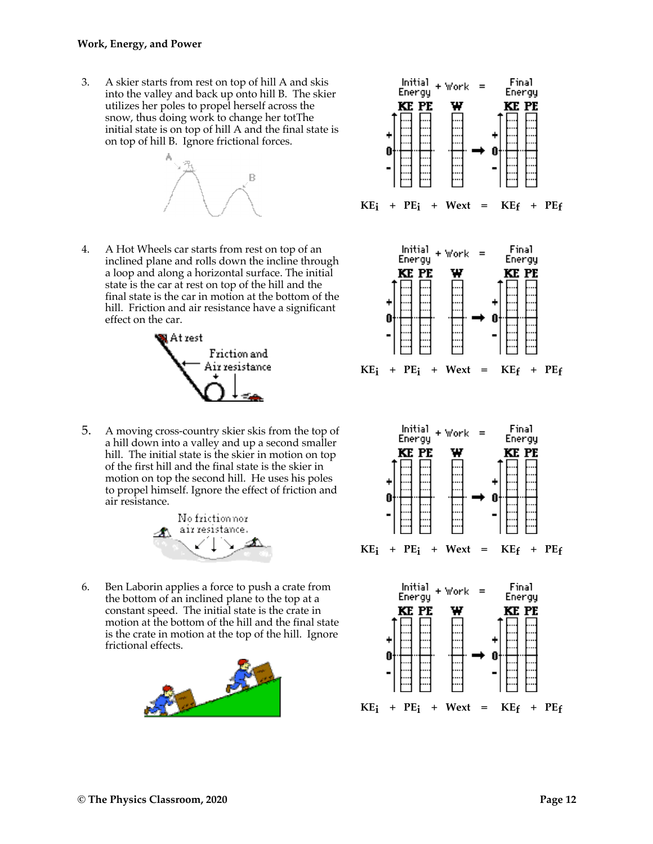3. A skier starts from rest on top of hill A and skis into the valley and back up onto hill B. The skier utilizes her poles to propel herself across the snow, thus doing work to change her totThe initial state is on top of hill A and the final state is on top of hill B. Ignore frictional forces.



4. A Hot Wheels car starts from rest on top of an inclined plane and rolls down the incline through a loop and along a horizontal surface. The initial state is the car at rest on top of the hill and the final state is the car in motion at the bottom of the hill. Friction and air resistance have a significant effect on the car.



5. A moving cross-country skier skis from the top of a hill down into a valley and up a second smaller hill. The initial state is the skier in motion on top of the first hill and the final state is the skier in motion on top the second hill. He uses his poles to propel himself. Ignore the effect of friction and air resistance.



6. Ben Laborin applies a force to push a crate from the bottom of an inclined plane to the top at a constant speed. The initial state is the crate in motion at the bottom of the hill and the final state is the crate in motion at the top of the hill. Ignore frictional effects.



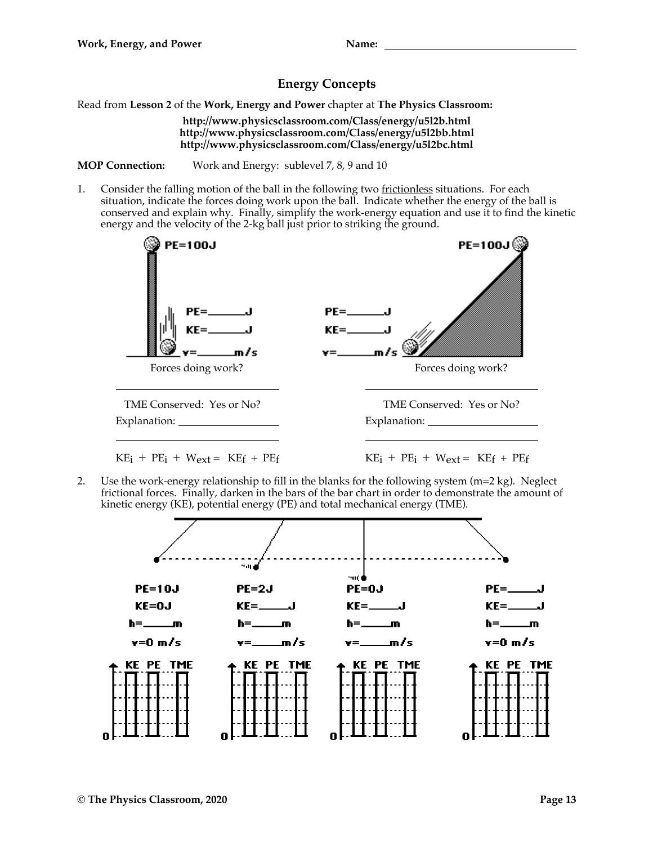# **Energy Concepts**

Read from **Lesson 2** of the **Work, Energy and Power** chapter at **The Physics Classroom:**

**http://www.physicsclassroom.com/Class/energy/u5l2b.html http://www.physicsclassroom.com/Class/energy/u5l2bb.html http://www.physicsclassroom.com/Class/energy/u5l2bc.html**

**MOP Connection:** Work and Energy: sublevel 7, 8, 9 and 10

1. Consider the falling motion of the ball in the following two frictionless situations. For each situation, indicate the forces doing work upon the ball. Indicate whether the energy of the ball is conserved and explain why. Finally, simplify the work-energy equation and use it to find the kinetic energy and the velocity of the 2-kg ball just prior to striking the ground.



2. Use the work-energy relationship to fill in the blanks for the following system  $(m=2 kg)$ . Neglect frictional forces. Finally, darken in the bars of the bar chart in order to demonstrate the amount of kinetic energy (KE), potential energy (PE) and total mechanical energy (TME).

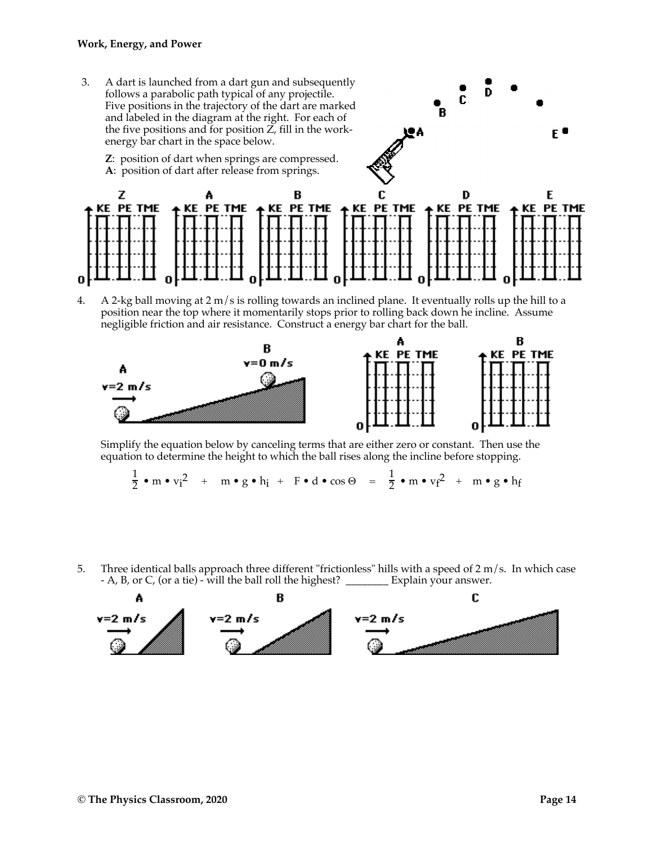#### **Work, Energy, and Power**

3. A dart is launched from a dart gun and subsequently follows a parabolic path typical of any projectile. Five positions in the trajectory of the dart are marked and labeled in the diagram at the right. For each of the five positions and for position  $\overrightarrow{Z}$ , fill in the workenergy bar chart in the space below.

E. **Z**: position of dart when springs are compressed. **A**: position of dart after release from springs. C D z R E А KE PE TME + KE PE TME + KE PE TME + KE PE TME **KE PE TME** + KE PE TME

D

C

B

4. A 2-kg ball moving at  $2 \text{ m/s}$  is rolling towards an inclined plane. It eventually rolls up the hill to a position near the top where it momentarily stops prior to rolling back down he incline. Assume negligible friction and air resistance. Construct a energy bar chart for the ball.



Simplify the equation below by canceling terms that are either zero or constant. Then use the equation to determine the height to which the ball rises along the incline before stopping.

$$
\frac{1}{2} \bullet m \bullet v_i^2 + m \bullet g \bullet h_i + F \bullet d \bullet \cos \Theta = \frac{1}{2} \bullet m \bullet v_f^2 + m \bullet g \bullet h_f
$$

5. Three identical balls approach three different "frictionless" hills with a speed of 2 m/s. In which case - A, B, or C, (or a tie) - will the ball roll the highest? \_\_\_\_\_\_\_\_ Explain your answer.

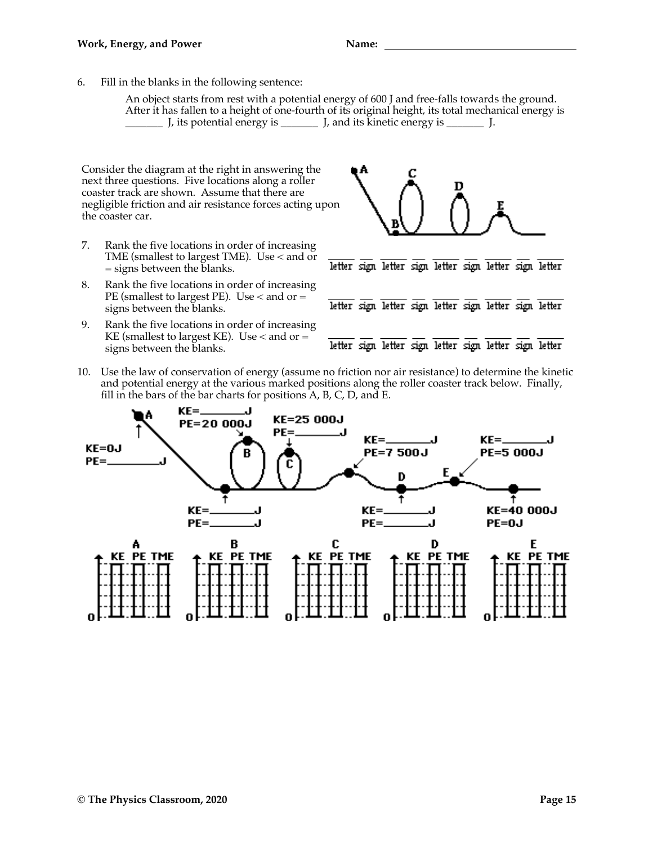6. Fill in the blanks in the following sentence:

An object starts from rest with a potential energy of 600 J and free-falls towards the ground. After it has fallen to a height of one-fourth of its original height, its total mechanical energy is \_\_\_\_\_\_\_ J, its potential energy is \_\_\_\_\_\_\_ J, and its kinetic energy is \_\_\_\_\_\_\_ J.

Consider the diagram at the right in answering the next three questions. Five locations along a roller coaster track are shown. Assume that there are negligible friction and air resistance forces acting upon the coaster car.

- 7. Rank the five locations in order of increasing TME (smallest to largest TME). Use < and or = signs between the blanks.
- 8. Rank the five locations in order of increasing PE (smallest to largest PE). Use < and or = signs between the blanks.
- 9. Rank the five locations in order of increasing KE (smallest to largest KE). Use  $<$  and or  $=$ signs between the blanks.



10. Use the law of conservation of energy (assume no friction nor air resistance) to determine the kinetic and potential energy at the various marked positions along the roller coaster track below. Finally, fill in the bars of the bar charts for positions  $A$ , B, C, D, and E.

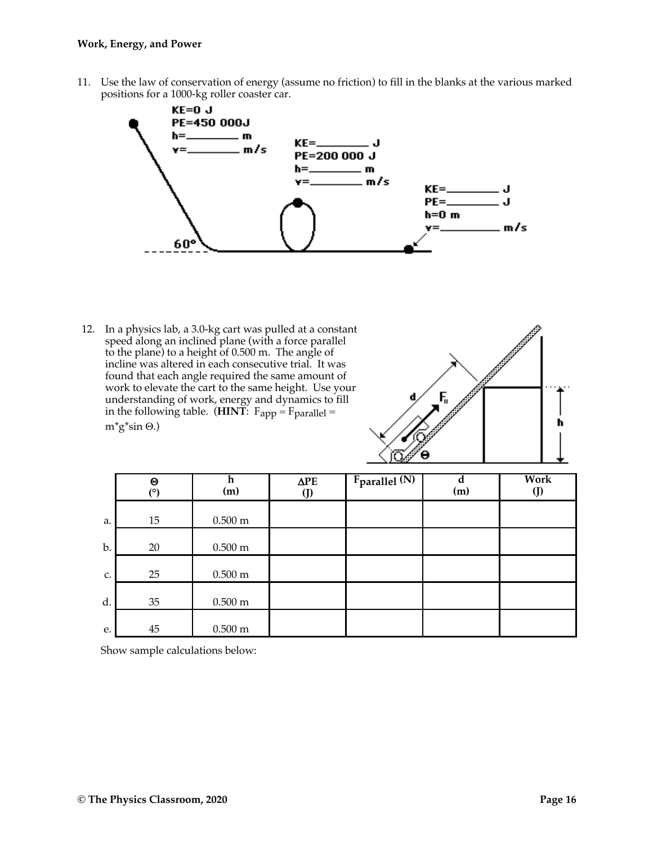11. Use the law of conservation of energy (assume no friction) to fill in the blanks at the various marked positions for a 1000-kg roller coaster car.



12. In a physics lab, a 3.0-kg cart was pulled at a constant speed along an inclined plane (with a force parallel to the plane) to a height of 0.500 m. The angle of incline was altered in each consecutive trial. It was found that each angle required the same amount of work to elevate the cart to the same height. Use your understanding of work, energy and dynamics to fill in the following table. (**HINT**:  $F_{app} = F_{parallel} =$  $m^*g^*sin \Theta.$ 



|    | $\boldsymbol{\Theta}$<br>(°) | h<br>(m)            | $\Delta$ PE<br>(J) | Fparallel (N) | d<br>(m) | <b>Work</b><br>$\mathbf{J}$ |
|----|------------------------------|---------------------|--------------------|---------------|----------|-----------------------------|
| a. | 15                           | $0.500 \text{ m}$   |                    |               |          |                             |
| b. | 20                           | $0.500 \text{ m}$   |                    |               |          |                             |
| c. | 25                           | $0.500 \text{ m}$   |                    |               |          |                             |
| d. | 35                           | $0.500 \text{ m}$   |                    |               |          |                             |
| e. | 45                           | $0.500\ \mathrm{m}$ |                    |               |          |                             |

Show sample calculations below: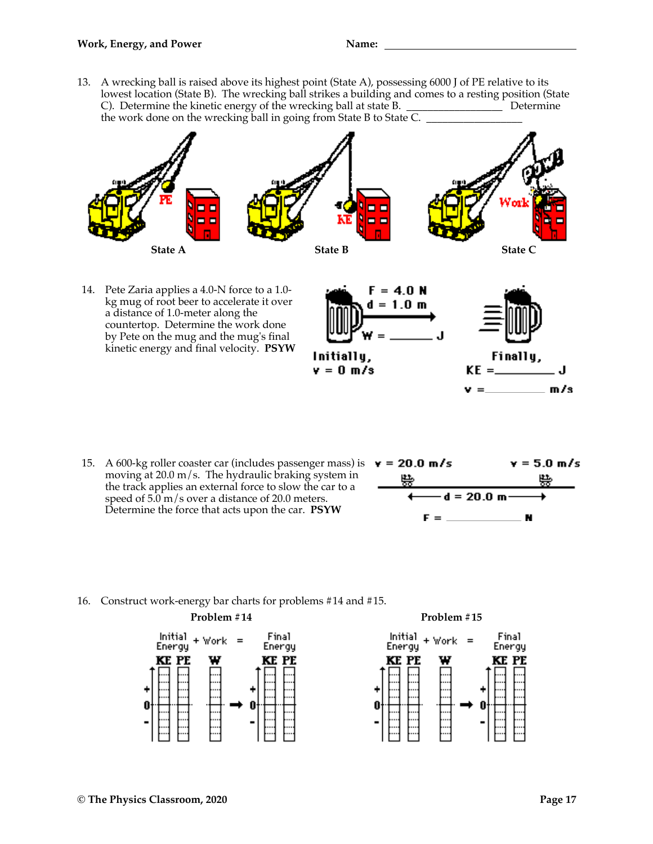13. A wrecking ball is raised above its highest point (State A), possessing 6000 J of PE relative to its lowest location (State B). The wrecking ball strikes a building and comes to a resting position (State C). Determine the kinetic energy of the wrecking ball at state B. \_\_\_\_\_\_\_\_\_\_\_\_\_\_\_\_\_\_ Determine the work done on the wrecking ball in going from State B to State  $\overline{C}$ .



14. Pete Zaria applies a 4.0-N force to a 1.0 kg mug of root beer to accelerate it over a distance of 1.0-meter along the countertop. Determine the work done by Pete on the mug and the mug's final kinetic energy and final velocity. **PSYW**



15. A 600-kg roller coaster car (includes passenger mass) is  $\mathbf{v} = 20.0 \, \text{m/s}$ moving at 20.0 m/s. The hydraulic braking system in the track applies an external force to slow the car to a speed of  $5.0 \text{ m/s}$  over a distance of 20.0 meters. Determine the force that acts upon the car. **PSYW**



16. Construct work-energy bar charts for problems #14 and #15.





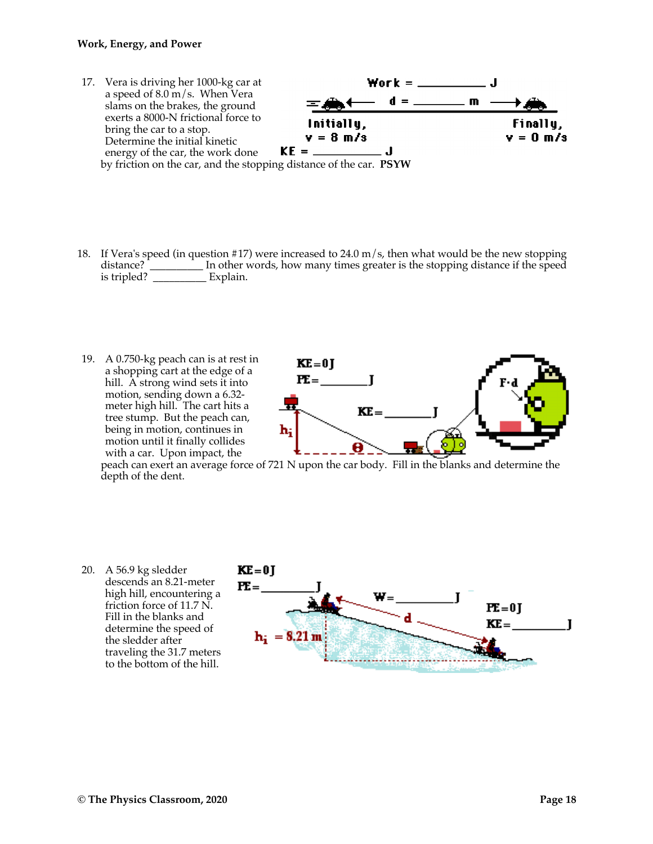#### **Work, Energy, and Power**



- 18. If Vera's speed (in question #17) were increased to 24.0 m/s, then what would be the new stopping distance? \_\_\_\_\_\_\_\_\_\_ In other words, how many times greater is the stopping distance if the speed is tripled? \_\_\_\_\_\_\_\_\_\_ Explain.
- 19. A 0.750-kg peach can is at rest in a shopping cart at the edge of a hill. A strong wind sets it into motion, sending down a 6.32 meter high hill. The cart hits a tree stump. But the peach can, being in motion, continues in motion until it finally collides with a car. Upon impact, the



peach can exert an average force of 721 N upon the car body. Fill in the blanks and determine the depth of the dent.

20. A 56.9 kg sledder  $KE = 01$ descends an 8.21-meter  $\mathbf{F}$ = high hill, encountering a friction force of 11.7 N.  $F = 0$ Fill in the blanks and  $KE =$ J determine the speed of  ${\bf h_i} = 8.21 \text{ m}$ the sledder after traveling the 31.7 meters to the bottom of the hill.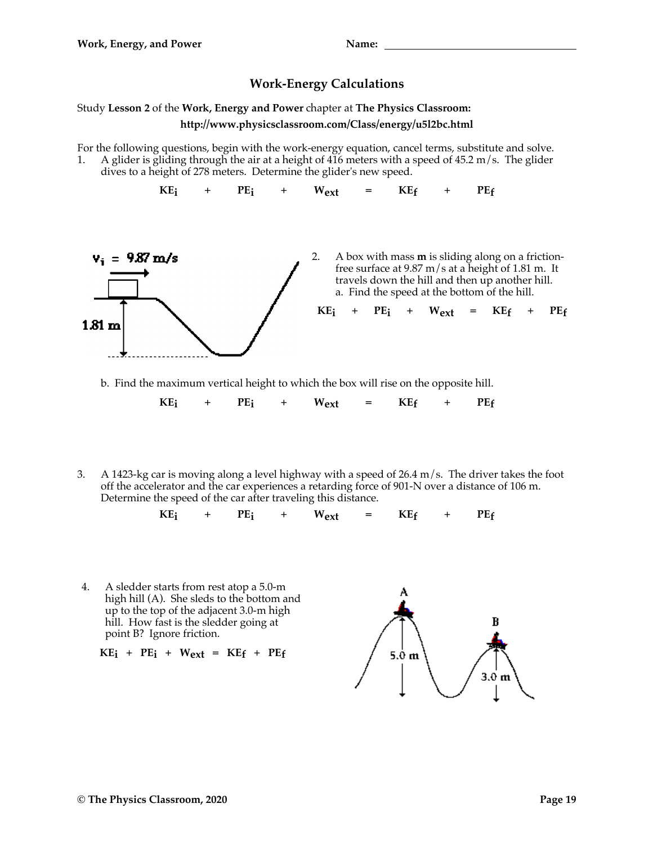## **Work-Energy Calculations**

## Study **Lesson 2** of the **Work, Energy and Power** chapter at **The Physics Classroom: http://www.physicsclassroom.com/Class/energy/u5l2bc.html**

For the following questions, begin with the work-energy equation, cancel terms, substitute and solve. 1. A glider is gliding through the air at a height of  $416$  meters with a speed of  $45.2 \text{ m/s}$ . The glider dives to a height of 278 meters. Determine the glider's new speed.

 $KE_i$  +  $PE_i$  +  $W_{ext}$  =  $KE_f$  +  $PE_f$ 



b. Find the maximum vertical height to which the box will rise on the opposite hill.

 $KE_i$  +  $PE_i$  +  $W_{ext}$  =  $KE_f$  +  $PE_f$ 

3. A 1423-kg car is moving along a level highway with a speed of 26.4 m/s. The driver takes the foot off the accelerator and the car experiences a retarding force of 901-N over a distance of 106 m. Determine the speed of the car after traveling this distance.

$$
KE_i + PE_i + W_{ext} = KE_f + PE_f
$$

4. A sledder starts from rest atop a 5.0-m high hill (A). She sleds to the bottom and up to the top of the adjacent 3.0-m high hill. How fast is the sledder going at point B? Ignore friction.

$$
KE_i + PE_i + W_{ext} = KE_f + PE_f
$$